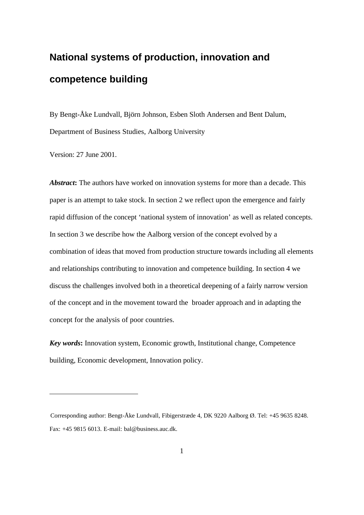# **National systems of production, innovation and competence building**

By Bengt-Åke Lundvall, Björn Johnson, Esben Sloth Andersen and Bent Dalum, Department of Business Studies, Aalborg University

Version: 27 June 2001.

 $\overline{a}$ 

*Abstract***:** The authors have worked on innovation systems for more than a decade. This paper is an attempt to take stock. In section 2 we reflect upon the emergence and fairly rapid diffusion of the concept 'national system of innovation' as well as related concepts. In section 3 we describe how the Aalborg version of the concept evolved by a combination of ideas that moved from production structure towards including all elements and relationships contributing to innovation and competence building. In section 4 we discuss the challenges involved both in a theoretical deepening of a fairly narrow version of the concept and in the movement toward the broader approach and in adapting the concept for the analysis of poor countries.

*Key words***:** Innovation system, Economic growth, Institutional change, Competence building, Economic development, Innovation policy.

Corresponding author: Bengt-Åke Lundvall, Fibigerstræde 4, DK 9220 Aalborg Ø. Tel: +45 9635 8248. Fax: +45 9815 6013. E-mail: bal@business.auc.dk.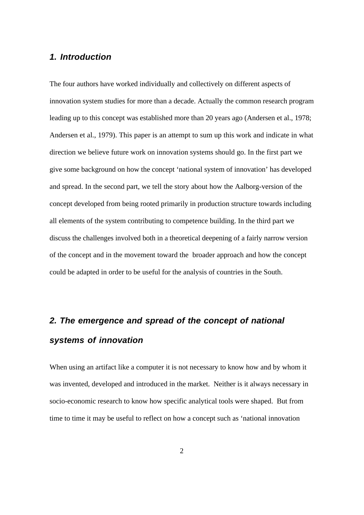### *1. Introduction*

The four authors have worked individually and collectively on different aspects of innovation system studies for more than a decade. Actually the common research program leading up to this concept was established more than 20 years ago (Andersen et al., 1978; Andersen et al., 1979). This paper is an attempt to sum up this work and indicate in what direction we believe future work on innovation systems should go. In the first part we give some background on how the concept 'national system of innovation' has developed and spread. In the second part, we tell the story about how the Aalborg-version of the concept developed from being rooted primarily in production structure towards including all elements of the system contributing to competence building. In the third part we discuss the challenges involved both in a theoretical deepening of a fairly narrow version of the concept and in the movement toward the broader approach and how the concept could be adapted in order to be useful for the analysis of countries in the South.

# *2. The emergence and spread of the concept of national systems of innovation*

When using an artifact like a computer it is not necessary to know how and by whom it was invented, developed and introduced in the market. Neither is it always necessary in socio-economic research to know how specific analytical tools were shaped. But from time to time it may be useful to reflect on how a concept such as 'national innovation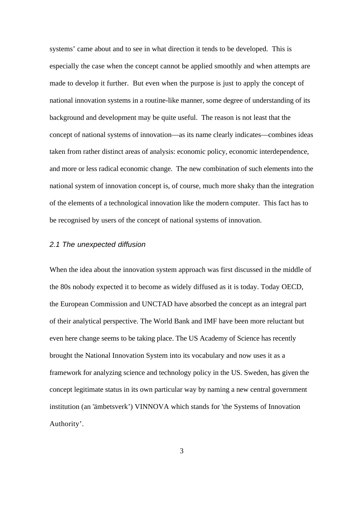systems' came about and to see in what direction it tends to be developed. This is especially the case when the concept cannot be applied smoothly and when attempts are made to develop it further. But even when the purpose is just to apply the concept of national innovation systems in a routine-like manner, some degree of understanding of its background and development may be quite useful. The reason is not least that the concept of national systems of innovation—as its name clearly indicates—combines ideas taken from rather distinct areas of analysis: economic policy, economic interdependence, and more or less radical economic change. The new combination of such elements into the national system of innovation concept is, of course, much more shaky than the integration of the elements of a technological innovation like the modern computer. This fact has to be recognised by users of the concept of national systems of innovation.

#### *2.1 The unexpected diffusion*

When the idea about the innovation system approach was first discussed in the middle of the 80s nobody expected it to become as widely diffused as it is today. Today OECD, the European Commission and UNCTAD have absorbed the concept as an integral part of their analytical perspective. The World Bank and IMF have been more reluctant but even here change seems to be taking place. The US Academy of Science has recently brought the National Innovation System into its vocabulary and now uses it as a framework for analyzing science and technology policy in the US. Sweden, has given the concept legitimate status in its own particular way by naming a new central government institution (an 'ämbetsverk') VINNOVA which stands for 'the Systems of Innovation Authority'.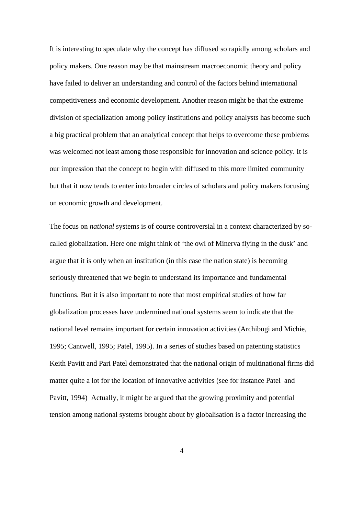It is interesting to speculate why the concept has diffused so rapidly among scholars and policy makers. One reason may be that mainstream macroeconomic theory and policy have failed to deliver an understanding and control of the factors behind international competitiveness and economic development. Another reason might be that the extreme division of specialization among policy institutions and policy analysts has become such a big practical problem that an analytical concept that helps to overcome these problems was welcomed not least among those responsible for innovation and science policy. It is our impression that the concept to begin with diffused to this more limited community but that it now tends to enter into broader circles of scholars and policy makers focusing on economic growth and development.

The focus on *national* systems is of course controversial in a context characterized by socalled globalization. Here one might think of 'the owl of Minerva flying in the dusk' and argue that it is only when an institution (in this case the nation state) is becoming seriously threatened that we begin to understand its importance and fundamental functions. But it is also important to note that most empirical studies of how far globalization processes have undermined national systems seem to indicate that the national level remains important for certain innovation activities (Archibugi and Michie, 1995; Cantwell, 1995; Patel, 1995). In a series of studies based on patenting statistics Keith Pavitt and Pari Patel demonstrated that the national origin of multinational firms did matter quite a lot for the location of innovative activities (see for instance Patel and Pavitt, 1994) Actually, it might be argued that the growing proximity and potential tension among national systems brought about by globalisation is a factor increasing the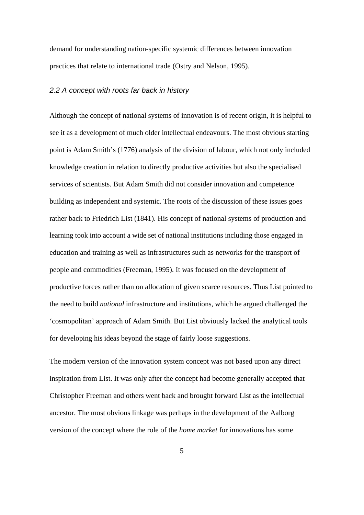demand for understanding nation-specific systemic differences between innovation practices that relate to international trade (Ostry and Nelson, 1995).

#### *2.2 A concept with roots far back in history*

Although the concept of national systems of innovation is of recent origin, it is helpful to see it as a development of much older intellectual endeavours. The most obvious starting point is Adam Smith's (1776) analysis of the division of labour, which not only included knowledge creation in relation to directly productive activities but also the specialised services of scientists. But Adam Smith did not consider innovation and competence building as independent and systemic. The roots of the discussion of these issues goes rather back to Friedrich List (1841). His concept of national systems of production and learning took into account a wide set of national institutions including those engaged in education and training as well as infrastructures such as networks for the transport of people and commodities (Freeman, 1995). It was focused on the development of productive forces rather than on allocation of given scarce resources. Thus List pointed to the need to build *national* infrastructure and institutions, which he argued challenged the 'cosmopolitan' approach of Adam Smith. But List obviously lacked the analytical tools for developing his ideas beyond the stage of fairly loose suggestions.

The modern version of the innovation system concept was not based upon any direct inspiration from List. It was only after the concept had become generally accepted that Christopher Freeman and others went back and brought forward List as the intellectual ancestor. The most obvious linkage was perhaps in the development of the Aalborg version of the concept where the role of the *home market* for innovations has some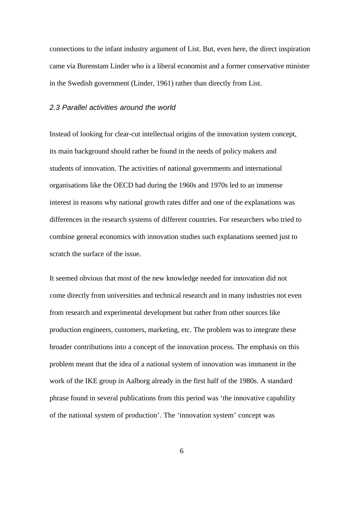connections to the infant industry argument of List. But, even here, the direct inspiration came via Burenstam Linder who is a liberal economist and a former conservative minister in the Swedish government (Linder, 1961) rather than directly from List.

#### *2.3 Parallel activities around the world*

Instead of looking for clear-cut intellectual origins of the innovation system concept, its main background should rather be found in the needs of policy makers and students of innovation. The activities of national governments and international organisations like the OECD had during the 1960s and 1970s led to an immense interest in reasons why national growth rates differ and one of the explanations was differences in the research systems of different countries. For researchers who tried to combine general economics with innovation studies such explanations seemed just to scratch the surface of the issue.

It seemed obvious that most of the new knowledge needed for innovation did not come directly from universities and technical research and in many industries not even from research and experimental development but rather from other sources like production engineers, customers, marketing, etc. The problem was to integrate these broader contributions into a concept of the innovation process. The emphasis on this problem meant that the idea of a national system of innovation was immanent in the work of the IKE group in Aalborg already in the first half of the 1980s. A standard phrase found in several publications from this period was 'the innovative capability of the national system of production'. The 'innovation system' concept was

6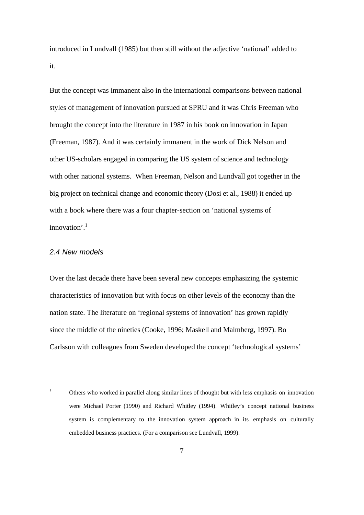introduced in Lundvall (1985) but then still without the adjective 'national' added to it.

But the concept was immanent also in the international comparisons between national styles of management of innovation pursued at SPRU and it was Chris Freeman who brought the concept into the literature in 1987 in his book on innovation in Japan (Freeman, 1987). And it was certainly immanent in the work of Dick Nelson and other US-scholars engaged in comparing the US system of science and technology with other national systems. When Freeman, Nelson and Lundvall got together in the big project on technical change and economic theory (Dosi et al., 1988) it ended up with a book where there was a four chapter-section on 'national systems of innovation'.1

### *2.4 New models*

 $\overline{a}$ 

Over the last decade there have been several new concepts emphasizing the systemic characteristics of innovation but with focus on other levels of the economy than the nation state. The literature on 'regional systems of innovation' has grown rapidly since the middle of the nineties (Cooke, 1996; Maskell and Malmberg, 1997). Bo Carlsson with colleagues from Sweden developed the concept 'technological systems'

<sup>1</sup> Others who worked in parallel along similar lines of thought but with less emphasis on innovation were Michael Porter (1990) and Richard Whitley (1994). Whitley's concept national business system is complementary to the innovation system approach in its emphasis on culturally embedded business practices. (For a comparison see Lundvall, 1999).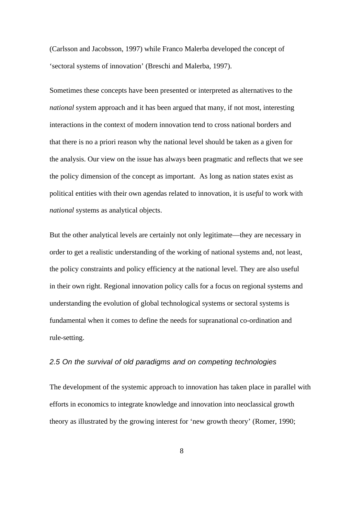(Carlsson and Jacobsson, 1997) while Franco Malerba developed the concept of 'sectoral systems of innovation' (Breschi and Malerba, 1997).

Sometimes these concepts have been presented or interpreted as alternatives to the *national* system approach and it has been argued that many, if not most, interesting interactions in the context of modern innovation tend to cross national borders and that there is no a priori reason why the national level should be taken as a given for the analysis. Our view on the issue has always been pragmatic and reflects that we see the policy dimension of the concept as important. As long as nation states exist as political entities with their own agendas related to innovation, it is *useful* to work with *national* systems as analytical objects.

But the other analytical levels are certainly not only legitimate—they are necessary in order to get a realistic understanding of the working of national systems and, not least, the policy constraints and policy efficiency at the national level. They are also useful in their own right. Regional innovation policy calls for a focus on regional systems and understanding the evolution of global technological systems or sectoral systems is fundamental when it comes to define the needs for supranational co-ordination and rule-setting.

#### *2.5 On the survival of old paradigms and on competing technologies*

The development of the systemic approach to innovation has taken place in parallel with efforts in economics to integrate knowledge and innovation into neoclassical growth theory as illustrated by the growing interest for 'new growth theory' (Romer, 1990;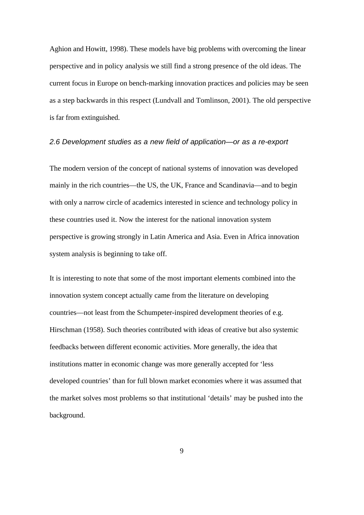Aghion and Howitt, 1998). These models have big problems with overcoming the linear perspective and in policy analysis we still find a strong presence of the old ideas. The current focus in Europe on bench-marking innovation practices and policies may be seen as a step backwards in this respect (Lundvall and Tomlinson, 2001). The old perspective is far from extinguished.

#### *2.6 Development studies as a new field of application—or as a re-export*

The modern version of the concept of national systems of innovation was developed mainly in the rich countries—the US, the UK, France and Scandinavia—and to begin with only a narrow circle of academics interested in science and technology policy in these countries used it. Now the interest for the national innovation system perspective is growing strongly in Latin America and Asia. Even in Africa innovation system analysis is beginning to take off.

It is interesting to note that some of the most important elements combined into the innovation system concept actually came from the literature on developing countries—not least from the Schumpeter-inspired development theories of e.g. Hirschman (1958). Such theories contributed with ideas of creative but also systemic feedbacks between different economic activities. More generally, the idea that institutions matter in economic change was more generally accepted for 'less developed countries' than for full blown market economies where it was assumed that the market solves most problems so that institutional 'details' may be pushed into the background.

9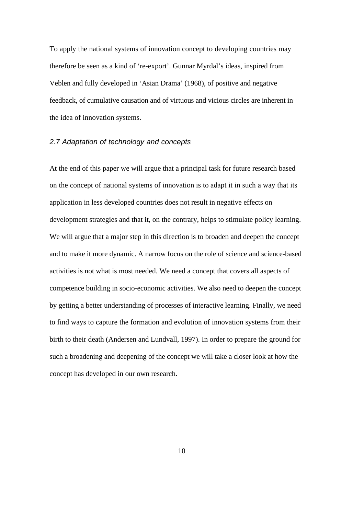To apply the national systems of innovation concept to developing countries may therefore be seen as a kind of 're-export'. Gunnar Myrdal's ideas, inspired from Veblen and fully developed in 'Asian Drama' (1968), of positive and negative feedback, of cumulative causation and of virtuous and vicious circles are inherent in the idea of innovation systems.

#### *2.7 Adaptation of technology and concepts*

At the end of this paper we will argue that a principal task for future research based on the concept of national systems of innovation is to adapt it in such a way that its application in less developed countries does not result in negative effects on development strategies and that it, on the contrary, helps to stimulate policy learning. We will argue that a major step in this direction is to broaden and deepen the concept and to make it more dynamic. A narrow focus on the role of science and science-based activities is not what is most needed. We need a concept that covers all aspects of competence building in socio-economic activities. We also need to deepen the concept by getting a better understanding of processes of interactive learning. Finally, we need to find ways to capture the formation and evolution of innovation systems from their birth to their death (Andersen and Lundvall, 1997). In order to prepare the ground for such a broadening and deepening of the concept we will take a closer look at how the concept has developed in our own research.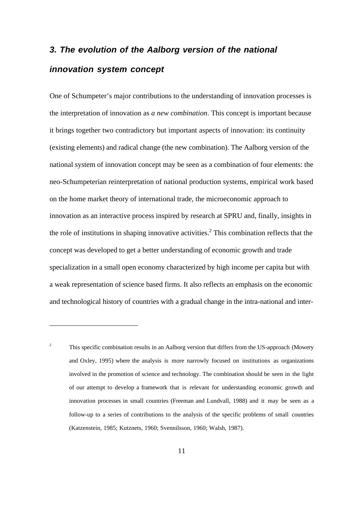# *3. The evolution of the Aalborg version of the national innovation system concept*

One of Schumpeter's major contributions to the understanding of innovation processes is the interpretation of innovation as *a new combination*. This concept is important because it brings together two contradictory but important aspects of innovation: its continuity (existing elements) and radical change (the new combination). The Aalborg version of the national system of innovation concept may be seen as a combination of four elements: the neo-Schumpeterian reinterpretation of national production systems, empirical work based on the home market theory of international trade, the microeconomic approach to innovation as an interactive process inspired by research at SPRU and, finally, insights in the role of institutions in shaping innovative activities.<sup>2</sup> This combination reflects that the concept was developed to get a better understanding of economic growth and trade specialization in a small open economy characterized by high income per capita but with a weak representation of science based firms. It also reflects an emphasis on the economic and technological history of countries with a gradual change in the intra-national and inter-

 $\overline{a}$ 

<sup>2</sup> This specific combination results in an Aalborg version that differs from the US-approach (Mowery and Oxley, 1995) where the analysis is more narrowly focused on institutions as organizations involved in the promotion of science and technology. The combination should be seen in the light of our attempt to develop a framework that is relevant for understanding economic growth and innovation processes in small countries (Freeman and Lundvall, 1988) and it may be seen as a follow-up to a series of contributions to the analysis of the specific problems of small countries (Katzenstein, 1985; Kutznets, 1960; Svennilsson, 1960; Walsh, 1987).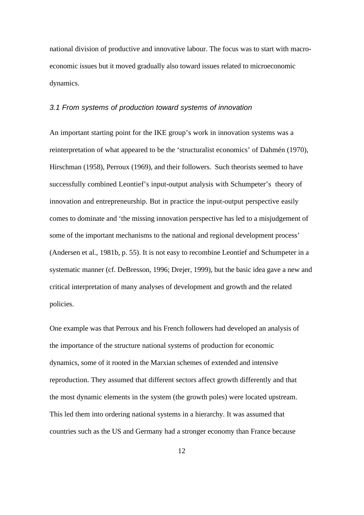national division of productive and innovative labour. The focus was to start with macroeconomic issues but it moved gradually also toward issues related to microeconomic dynamics.

#### *3.1 From systems of production toward systems of innovation*

An important starting point for the IKE group's work in innovation systems was a reinterpretation of what appeared to be the 'structuralist economics' of Dahmén (1970), Hirschman (1958), Perroux (1969), and their followers. Such theorists seemed to have successfully combined Leontief's input-output analysis with Schumpeter's theory of innovation and entrepreneurship. But in practice the input-output perspective easily comes to dominate and 'the missing innovation perspective has led to a misjudgement of some of the important mechanisms to the national and regional development process' (Andersen et al., 1981b, p. 55). It is not easy to recombine Leontief and Schumpeter in a systematic manner (cf. DeBresson, 1996; Drejer, 1999), but the basic idea gave a new and critical interpretation of many analyses of development and growth and the related policies.

One example was that Perroux and his French followers had developed an analysis of the importance of the structure national systems of production for economic dynamics, some of it rooted in the Marxian schemes of extended and intensive reproduction. They assumed that different sectors affect growth differently and that the most dynamic elements in the system (the growth poles) were located upstream. This led them into ordering national systems in a hierarchy. It was assumed that countries such as the US and Germany had a stronger economy than France because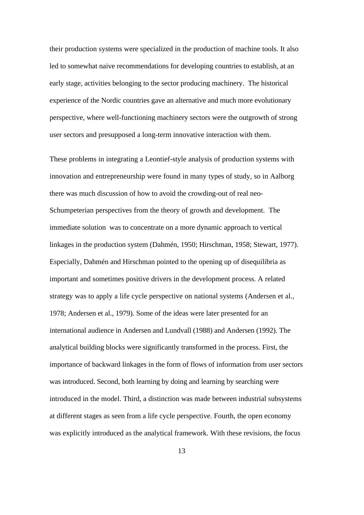their production systems were specialized in the production of machine tools. It also led to somewhat naive recommendations for developing countries to establish, at an early stage, activities belonging to the sector producing machinery. The historical experience of the Nordic countries gave an alternative and much more evolutionary perspective, where well-functioning machinery sectors were the outgrowth of strong user sectors and presupposed a long-term innovative interaction with them.

These problems in integrating a Leontief-style analysis of production systems with innovation and entrepreneurship were found in many types of study, so in Aalborg there was much discussion of how to avoid the crowding-out of real neo-Schumpeterian perspectives from the theory of growth and development. The immediate solution was to concentrate on a more dynamic approach to vertical linkages in the production system (Dahmén, 1950; Hirschman, 1958; Stewart, 1977). Especially, Dahmén and Hirschman pointed to the opening up of disequilibria as important and sometimes positive drivers in the development process. A related strategy was to apply a life cycle perspective on national systems (Andersen et al., 1978; Andersen et al., 1979). Some of the ideas were later presented for an international audience in Andersen and Lundvall (1988) and Andersen (1992). The analytical building blocks were significantly transformed in the process. First, the importance of backward linkages in the form of flows of information from user sectors was introduced. Second, both learning by doing and learning by searching were introduced in the model. Third, a distinction was made between industrial subsystems at different stages as seen from a life cycle perspective. Fourth, the open economy was explicitly introduced as the analytical framework. With these revisions, the focus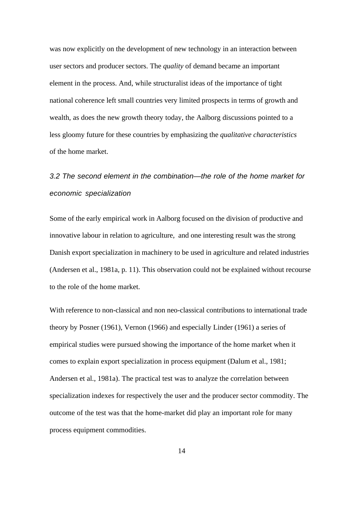was now explicitly on the development of new technology in an interaction between user sectors and producer sectors. The *quality* of demand became an important element in the process. And, while structuralist ideas of the importance of tight national coherence left small countries very limited prospects in terms of growth and wealth, as does the new growth theory today, the Aalborg discussions pointed to a less gloomy future for these countries by emphasizing the *qualitative characteristics* of the home market.

## *3.2 The second element in the combination—the role of the home market for economic specialization*

Some of the early empirical work in Aalborg focused on the division of productive and innovative labour in relation to agriculture, and one interesting result was the strong Danish export specialization in machinery to be used in agriculture and related industries (Andersen et al., 1981a, p. 11). This observation could not be explained without recourse to the role of the home market.

With reference to non-classical and non neo-classical contributions to international trade theory by Posner (1961), Vernon (1966) and especially Linder (1961) a series of empirical studies were pursued showing the importance of the home market when it comes to explain export specialization in process equipment (Dalum et al., 1981; Andersen et al., 1981a). The practical test was to analyze the correlation between specialization indexes for respectively the user and the producer sector commodity. The outcome of the test was that the home-market did play an important role for many process equipment commodities.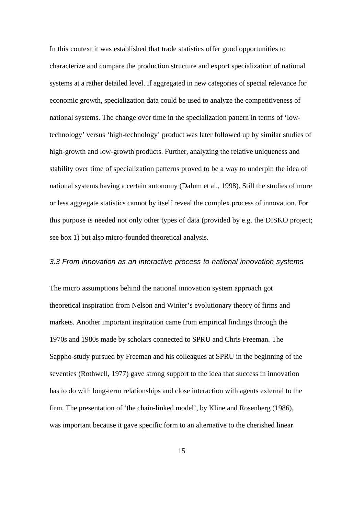In this context it was established that trade statistics offer good opportunities to characterize and compare the production structure and export specialization of national systems at a rather detailed level. If aggregated in new categories of special relevance for economic growth, specialization data could be used to analyze the competitiveness of national systems. The change over time in the specialization pattern in terms of 'lowtechnology' versus 'high-technology' product was later followed up by similar studies of high-growth and low-growth products. Further, analyzing the relative uniqueness and stability over time of specialization patterns proved to be a way to underpin the idea of national systems having a certain autonomy (Dalum et al., 1998). Still the studies of more or less aggregate statistics cannot by itself reveal the complex process of innovation. For this purpose is needed not only other types of data (provided by e.g. the DISKO project; see box 1) but also micro-founded theoretical analysis.

#### *3.3 From innovation as an interactive process to national innovation systems*

The micro assumptions behind the national innovation system approach got theoretical inspiration from Nelson and Winter's evolutionary theory of firms and markets. Another important inspiration came from empirical findings through the 1970s and 1980s made by scholars connected to SPRU and Chris Freeman. The Sappho-study pursued by Freeman and his colleagues at SPRU in the beginning of the seventies (Rothwell, 1977) gave strong support to the idea that success in innovation has to do with long-term relationships and close interaction with agents external to the firm. The presentation of 'the chain-linked model', by Kline and Rosenberg (1986), was important because it gave specific form to an alternative to the cherished linear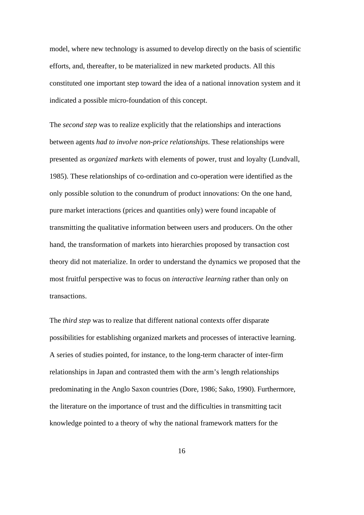model, where new technology is assumed to develop directly on the basis of scientific efforts, and, thereafter, to be materialized in new marketed products. All this constituted one important step toward the idea of a national innovation system and it indicated a possible micro-foundation of this concept.

The *second step* was to realize explicitly that the relationships and interactions between agents *had to involve non-price relationships*. These relationships were presented as *organized markets* with elements of power, trust and loyalty (Lundvall, 1985). These relationships of co-ordination and co-operation were identified as the only possible solution to the conundrum of product innovations: On the one hand, pure market interactions (prices and quantities only) were found incapable of transmitting the qualitative information between users and producers. On the other hand, the transformation of markets into hierarchies proposed by transaction cost theory did not materialize. In order to understand the dynamics we proposed that the most fruitful perspective was to focus on *interactive learning* rather than only on transactions.

The *third step* was to realize that different national contexts offer disparate possibilities for establishing organized markets and processes of interactive learning. A series of studies pointed, for instance, to the long-term character of inter-firm relationships in Japan and contrasted them with the arm's length relationships predominating in the Anglo Saxon countries (Dore, 1986; Sako, 1990). Furthermore, the literature on the importance of trust and the difficulties in transmitting tacit knowledge pointed to a theory of why the national framework matters for the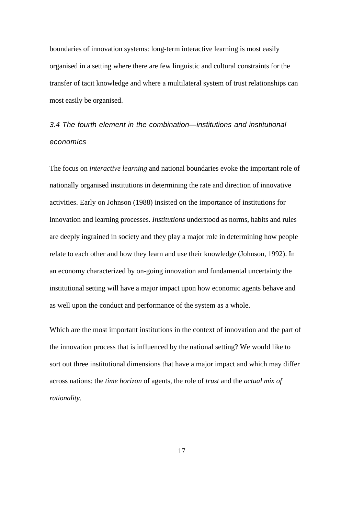boundaries of innovation systems: long-term interactive learning is most easily organised in a setting where there are few linguistic and cultural constraints for the transfer of tacit knowledge and where a multilateral system of trust relationships can most easily be organised.

## *3.4 The fourth element in the combination—institutions and institutional economics*

The focus on *interactive learning* and national boundaries evoke the important role of nationally organised institutions in determining the rate and direction of innovative activities. Early on Johnson (1988) insisted on the importance of institutions for innovation and learning processes. *Institutions* understood as norms, habits and rules are deeply ingrained in society and they play a major role in determining how people relate to each other and how they learn and use their knowledge (Johnson, 1992). In an economy characterized by on-going innovation and fundamental uncertainty the institutional setting will have a major impact upon how economic agents behave and as well upon the conduct and performance of the system as a whole.

Which are the most important institutions in the context of innovation and the part of the innovation process that is influenced by the national setting? We would like to sort out three institutional dimensions that have a major impact and which may differ across nations: the *time horizon* of agents, the role of *trust* and the *actual mix of rationality*.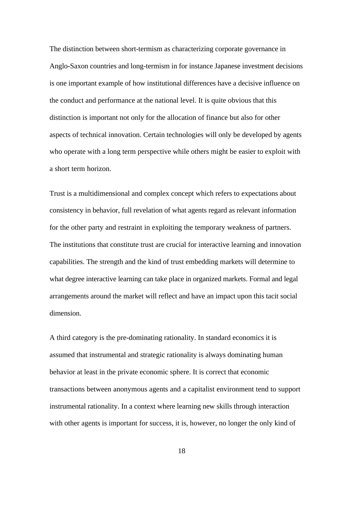The distinction between short-termism as characterizing corporate governance in Anglo-Saxon countries and long-termism in for instance Japanese investment decisions is one important example of how institutional differences have a decisive influence on the conduct and performance at the national level. It is quite obvious that this distinction is important not only for the allocation of finance but also for other aspects of technical innovation. Certain technologies will only be developed by agents who operate with a long term perspective while others might be easier to exploit with a short term horizon.

Trust is a multidimensional and complex concept which refers to expectations about consistency in behavior, full revelation of what agents regard as relevant information for the other party and restraint in exploiting the temporary weakness of partners. The institutions that constitute trust are crucial for interactive learning and innovation capabilities. The strength and the kind of trust embedding markets will determine to what degree interactive learning can take place in organized markets. Formal and legal arrangements around the market will reflect and have an impact upon this tacit social dimension.

A third category is the pre-dominating rationality. In standard economics it is assumed that instrumental and strategic rationality is always dominating human behavior at least in the private economic sphere. It is correct that economic transactions between anonymous agents and a capitalist environment tend to support instrumental rationality. In a context where learning new skills through interaction with other agents is important for success, it is, however, no longer the only kind of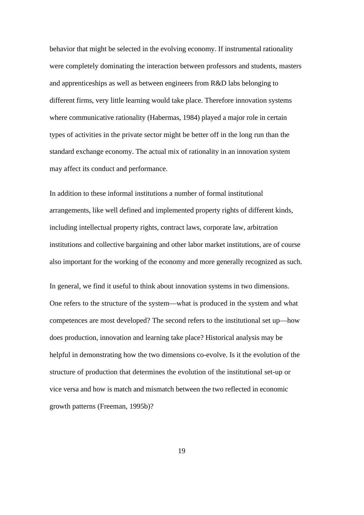behavior that might be selected in the evolving economy. If instrumental rationality were completely dominating the interaction between professors and students, masters and apprenticeships as well as between engineers from R&D labs belonging to different firms, very little learning would take place. Therefore innovation systems where communicative rationality (Habermas, 1984) played a major role in certain types of activities in the private sector might be better off in the long run than the standard exchange economy. The actual mix of rationality in an innovation system may affect its conduct and performance.

In addition to these informal institutions a number of formal institutional arrangements, like well defined and implemented property rights of different kinds, including intellectual property rights, contract laws, corporate law, arbitration institutions and collective bargaining and other labor market institutions, are of course also important for the working of the economy and more generally recognized as such.

In general, we find it useful to think about innovation systems in two dimensions. One refers to the structure of the system—what is produced in the system and what competences are most developed? The second refers to the institutional set up—how does production, innovation and learning take place? Historical analysis may be helpful in demonstrating how the two dimensions co-evolve. Is it the evolution of the structure of production that determines the evolution of the institutional set-up or vice versa and how is match and mismatch between the two reflected in economic growth patterns (Freeman, 1995b)?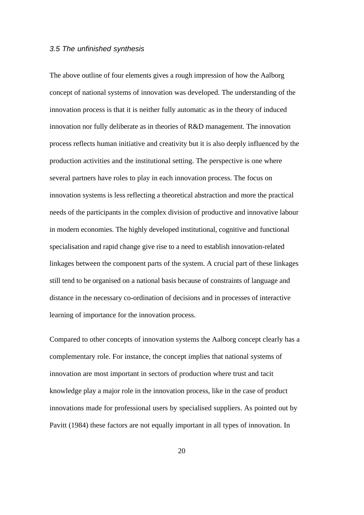#### *3.5 The unfinished synthesis*

The above outline of four elements gives a rough impression of how the Aalborg concept of national systems of innovation was developed. The understanding of the innovation process is that it is neither fully automatic as in the theory of induced innovation nor fully deliberate as in theories of R&D management. The innovation process reflects human initiative and creativity but it is also deeply influenced by the production activities and the institutional setting. The perspective is one where several partners have roles to play in each innovation process. The focus on innovation systems is less reflecting a theoretical abstraction and more the practical needs of the participants in the complex division of productive and innovative labour in modern economies. The highly developed institutional, cognitive and functional specialisation and rapid change give rise to a need to establish innovation-related linkages between the component parts of the system. A crucial part of these linkages still tend to be organised on a national basis because of constraints of language and distance in the necessary co-ordination of decisions and in processes of interactive learning of importance for the innovation process.

Compared to other concepts of innovation systems the Aalborg concept clearly has a complementary role. For instance, the concept implies that national systems of innovation are most important in sectors of production where trust and tacit knowledge play a major role in the innovation process, like in the case of product innovations made for professional users by specialised suppliers. As pointed out by Pavitt (1984) these factors are not equally important in all types of innovation. In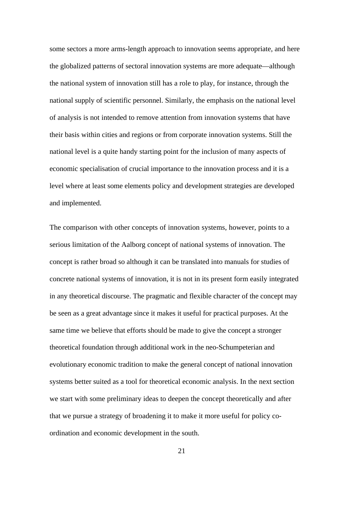some sectors a more arms-length approach to innovation seems appropriate, and here the globalized patterns of sectoral innovation systems are more adequate—although the national system of innovation still has a role to play, for instance, through the national supply of scientific personnel. Similarly, the emphasis on the national level of analysis is not intended to remove attention from innovation systems that have their basis within cities and regions or from corporate innovation systems. Still the national level is a quite handy starting point for the inclusion of many aspects of economic specialisation of crucial importance to the innovation process and it is a level where at least some elements policy and development strategies are developed and implemented.

The comparison with other concepts of innovation systems, however, points to a serious limitation of the Aalborg concept of national systems of innovation. The concept is rather broad so although it can be translated into manuals for studies of concrete national systems of innovation, it is not in its present form easily integrated in any theoretical discourse. The pragmatic and flexible character of the concept may be seen as a great advantage since it makes it useful for practical purposes. At the same time we believe that efforts should be made to give the concept a stronger theoretical foundation through additional work in the neo-Schumpeterian and evolutionary economic tradition to make the general concept of national innovation systems better suited as a tool for theoretical economic analysis. In the next section we start with some preliminary ideas to deepen the concept theoretically and after that we pursue a strategy of broadening it to make it more useful for policy coordination and economic development in the south.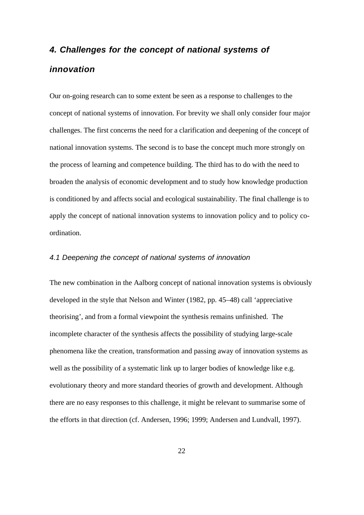# *4. Challenges for the concept of national systems of innovation*

Our on-going research can to some extent be seen as a response to challenges to the concept of national systems of innovation. For brevity we shall only consider four major challenges. The first concerns the need for a clarification and deepening of the concept of national innovation systems. The second is to base the concept much more strongly on the process of learning and competence building. The third has to do with the need to broaden the analysis of economic development and to study how knowledge production is conditioned by and affects social and ecological sustainability. The final challenge is to apply the concept of national innovation systems to innovation policy and to policy coordination.

#### *4.1 Deepening the concept of national systems of innovation*

The new combination in the Aalborg concept of national innovation systems is obviously developed in the style that Nelson and Winter (1982, pp. 45–48) call 'appreciative theorising', and from a formal viewpoint the synthesis remains unfinished. The incomplete character of the synthesis affects the possibility of studying large-scale phenomena like the creation, transformation and passing away of innovation systems as well as the possibility of a systematic link up to larger bodies of knowledge like e.g. evolutionary theory and more standard theories of growth and development. Although there are no easy responses to this challenge, it might be relevant to summarise some of the efforts in that direction (cf. Andersen, 1996; 1999; Andersen and Lundvall, 1997).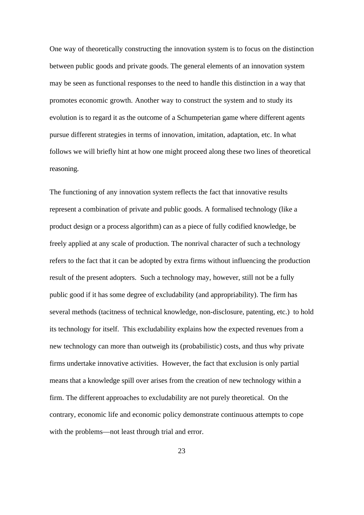One way of theoretically constructing the innovation system is to focus on the distinction between public goods and private goods. The general elements of an innovation system may be seen as functional responses to the need to handle this distinction in a way that promotes economic growth. Another way to construct the system and to study its evolution is to regard it as the outcome of a Schumpeterian game where different agents pursue different strategies in terms of innovation, imitation, adaptation, etc. In what follows we will briefly hint at how one might proceed along these two lines of theoretical reasoning.

The functioning of any innovation system reflects the fact that innovative results represent a combination of private and public goods. A formalised technology (like a product design or a process algorithm) can as a piece of fully codified knowledge, be freely applied at any scale of production. The nonrival character of such a technology refers to the fact that it can be adopted by extra firms without influencing the production result of the present adopters. Such a technology may, however, still not be a fully public good if it has some degree of excludability (and appropriability). The firm has several methods (tacitness of technical knowledge, non-disclosure, patenting, etc.) to hold its technology for itself. This excludability explains how the expected revenues from a new technology can more than outweigh its (probabilistic) costs, and thus why private firms undertake innovative activities. However, the fact that exclusion is only partial means that a knowledge spill over arises from the creation of new technology within a firm. The different approaches to excludability are not purely theoretical. On the contrary, economic life and economic policy demonstrate continuous attempts to cope with the problems—not least through trial and error.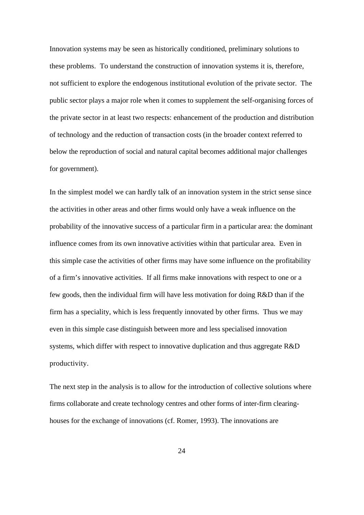Innovation systems may be seen as historically conditioned, preliminary solutions to these problems. To understand the construction of innovation systems it is, therefore, not sufficient to explore the endogenous institutional evolution of the private sector. The public sector plays a major role when it comes to supplement the self-organising forces of the private sector in at least two respects: enhancement of the production and distribution of technology and the reduction of transaction costs (in the broader context referred to below the reproduction of social and natural capital becomes additional major challenges for government).

In the simplest model we can hardly talk of an innovation system in the strict sense since the activities in other areas and other firms would only have a weak influence on the probability of the innovative success of a particular firm in a particular area: the dominant influence comes from its own innovative activities within that particular area. Even in this simple case the activities of other firms may have some influence on the profitability of a firm's innovative activities. If all firms make innovations with respect to one or a few goods, then the individual firm will have less motivation for doing R&D than if the firm has a speciality, which is less frequently innovated by other firms. Thus we may even in this simple case distinguish between more and less specialised innovation systems, which differ with respect to innovative duplication and thus aggregate R&D productivity.

The next step in the analysis is to allow for the introduction of collective solutions where firms collaborate and create technology centres and other forms of inter-firm clearinghouses for the exchange of innovations (cf. Romer, 1993). The innovations are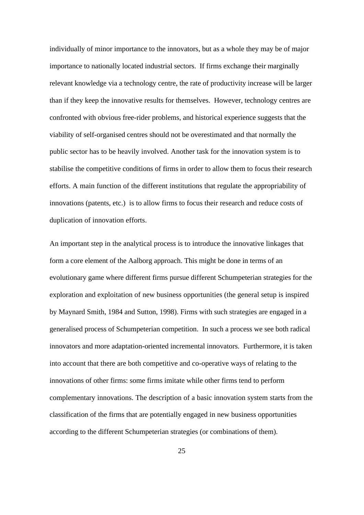individually of minor importance to the innovators, but as a whole they may be of major importance to nationally located industrial sectors. If firms exchange their marginally relevant knowledge via a technology centre, the rate of productivity increase will be larger than if they keep the innovative results for themselves. However, technology centres are confronted with obvious free-rider problems, and historical experience suggests that the viability of self-organised centres should not be overestimated and that normally the public sector has to be heavily involved. Another task for the innovation system is to stabilise the competitive conditions of firms in order to allow them to focus their research efforts. A main function of the different institutions that regulate the appropriability of innovations (patents, etc.) is to allow firms to focus their research and reduce costs of duplication of innovation efforts.

An important step in the analytical process is to introduce the innovative linkages that form a core element of the Aalborg approach. This might be done in terms of an evolutionary game where different firms pursue different Schumpeterian strategies for the exploration and exploitation of new business opportunities (the general setup is inspired by Maynard Smith, 1984 and Sutton, 1998). Firms with such strategies are engaged in a generalised process of Schumpeterian competition. In such a process we see both radical innovators and more adaptation-oriented incremental innovators. Furthermore, it is taken into account that there are both competitive and co-operative ways of relating to the innovations of other firms: some firms imitate while other firms tend to perform complementary innovations. The description of a basic innovation system starts from the classification of the firms that are potentially engaged in new business opportunities according to the different Schumpeterian strategies (or combinations of them).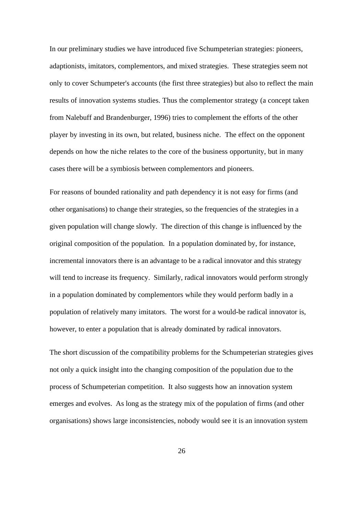In our preliminary studies we have introduced five Schumpeterian strategies: pioneers, adaptionists, imitators, complementors, and mixed strategies. These strategies seem not only to cover Schumpeter's accounts (the first three strategies) but also to reflect the main results of innovation systems studies. Thus the complementor strategy (a concept taken from Nalebuff and Brandenburger, 1996) tries to complement the efforts of the other player by investing in its own, but related, business niche. The effect on the opponent depends on how the niche relates to the core of the business opportunity, but in many cases there will be a symbiosis between complementors and pioneers.

For reasons of bounded rationality and path dependency it is not easy for firms (and other organisations) to change their strategies, so the frequencies of the strategies in a given population will change slowly. The direction of this change is influenced by the original composition of the population. In a population dominated by, for instance, incremental innovators there is an advantage to be a radical innovator and this strategy will tend to increase its frequency. Similarly, radical innovators would perform strongly in a population dominated by complementors while they would perform badly in a population of relatively many imitators. The worst for a would-be radical innovator is, however, to enter a population that is already dominated by radical innovators.

The short discussion of the compatibility problems for the Schumpeterian strategies gives not only a quick insight into the changing composition of the population due to the process of Schumpeterian competition. It also suggests how an innovation system emerges and evolves. As long as the strategy mix of the population of firms (and other organisations) shows large inconsistencies, nobody would see it is an innovation system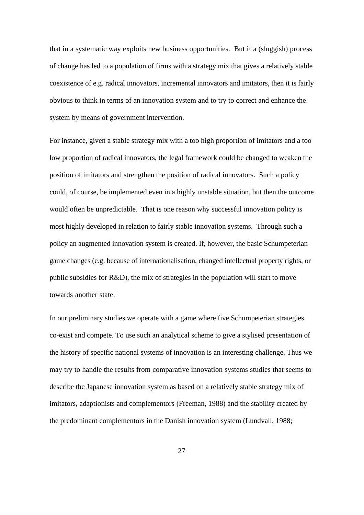that in a systematic way exploits new business opportunities. But if a (sluggish) process of change has led to a population of firms with a strategy mix that gives a relatively stable coexistence of e.g. radical innovators, incremental innovators and imitators, then it is fairly obvious to think in terms of an innovation system and to try to correct and enhance the system by means of government intervention.

For instance, given a stable strategy mix with a too high proportion of imitators and a too low proportion of radical innovators, the legal framework could be changed to weaken the position of imitators and strengthen the position of radical innovators. Such a policy could, of course, be implemented even in a highly unstable situation, but then the outcome would often be unpredictable. That is one reason why successful innovation policy is most highly developed in relation to fairly stable innovation systems. Through such a policy an augmented innovation system is created. If, however, the basic Schumpeterian game changes (e.g. because of internationalisation, changed intellectual property rights, or public subsidies for R&D), the mix of strategies in the population will start to move towards another state.

In our preliminary studies we operate with a game where five Schumpeterian strategies co-exist and compete. To use such an analytical scheme to give a stylised presentation of the history of specific national systems of innovation is an interesting challenge. Thus we may try to handle the results from comparative innovation systems studies that seems to describe the Japanese innovation system as based on a relatively stable strategy mix of imitators, adaptionists and complementors (Freeman, 1988) and the stability created by the predominant complementors in the Danish innovation system (Lundvall, 1988;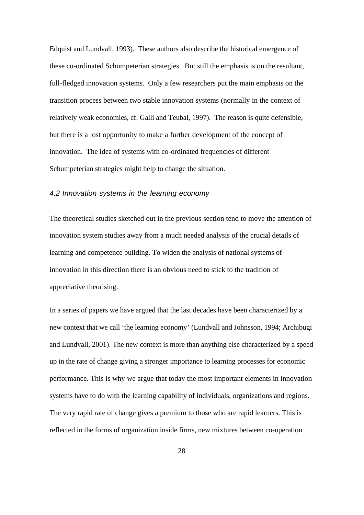Edquist and Lundvall, 1993). These authors also describe the historical emergence of these co-ordinated Schumpeterian strategies. But still the emphasis is on the resultant, full-fledged innovation systems. Only a few researchers put the main emphasis on the transition process between two stable innovation systems (normally in the context of relatively weak economies, cf. Galli and Teubal, 1997). The reason is quite defensible, but there is a lost opportunity to make a further development of the concept of innovation. The idea of systems with co-ordinated frequencies of different Schumpeterian strategies might help to change the situation.

#### *4.2 Innovation systems in the learning economy*

The theoretical studies sketched out in the previous section tend to move the attention of innovation system studies away from a much needed analysis of the crucial details of learning and competence building. To widen the analysis of national systems of innovation in this direction there is an obvious need to stick to the tradition of appreciative theorising.

In a series of papers we have argued that the last decades have been characterized by a new context that we call 'the learning economy' (Lundvall and Johnsson, 1994; Archibugi and Lundvall, 2001). The new context is more than anything else characterized by a speed up in the rate of change giving a stronger importance to learning processes for economic performance. This is why we argue that today the most important elements in innovation systems have to do with the learning capability of individuals, organizations and regions. The very rapid rate of change gives a premium to those who are rapid learners. This is reflected in the forms of organization inside firms, new mixtures between co-operation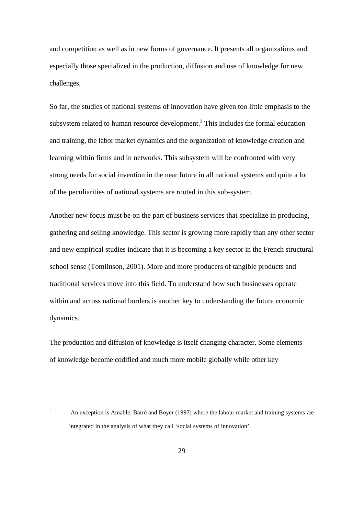and competition as well as in new forms of governance. It presents all organizations and especially those specialized in the production, diffusion and use of knowledge for new challenges.

So far, the studies of national systems of innovation have given too little emphasis to the subsystem related to human resource development.<sup>3</sup> This includes the formal education and training, the labor market dynamics and the organization of knowledge creation and learning within firms and in networks. This subsystem will be confronted with very strong needs for social invention in the near future in all national systems and quite a lot of the peculiarities of national systems are rooted in this sub-system.

Another new focus must be on the part of business services that specialize in producing, gathering and selling knowledge. This sector is growing more rapidly than any other sector and new empirical studies indicate that it is becoming a key sector in the French structural school sense (Tomlinson, 2001). More and more producers of tangible products and traditional services move into this field. To understand how such businesses operate within and across national borders is another key to understanding the future economic dynamics.

The production and diffusion of knowledge is itself changing character. Some elements of knowledge become codified and much more mobile globally while other key

 $\overline{a}$ 

<sup>3</sup> An exception is Amable, Barré and Boyer (1997) where the labour market and training systems are integrated in the analysis of what they call 'social systems of innovation'.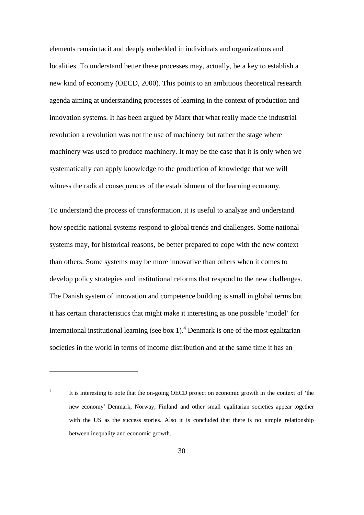elements remain tacit and deeply embedded in individuals and organizations and localities. To understand better these processes may, actually, be a key to establish a new kind of economy (OECD, 2000). This points to an ambitious theoretical research agenda aiming at understanding processes of learning in the context of production and innovation systems. It has been argued by Marx that what really made the industrial revolution a revolution was not the use of machinery but rather the stage where machinery was used to produce machinery. It may be the case that it is only when we systematically can apply knowledge to the production of knowledge that we will witness the radical consequences of the establishment of the learning economy.

To understand the process of transformation, it is useful to analyze and understand how specific national systems respond to global trends and challenges. Some national systems may, for historical reasons, be better prepared to cope with the new context than others. Some systems may be more innovative than others when it comes to develop policy strategies and institutional reforms that respond to the new challenges. The Danish system of innovation and competence building is small in global terms but it has certain characteristics that might make it interesting as one possible 'model' for international institutional learning (see box 1).<sup>4</sup> Denmark is one of the most egalitarian societies in the world in terms of income distribution and at the same time it has an

 $\overline{a}$ 

<sup>4</sup> It is interesting to note that the on-going OECD project on economic growth in the context of 'the new economy' Denmark, Norway, Finland and other small egalitarian societies appear together with the US as the success stories. Also it is concluded that there is no simple relationship between inequality and economic growth.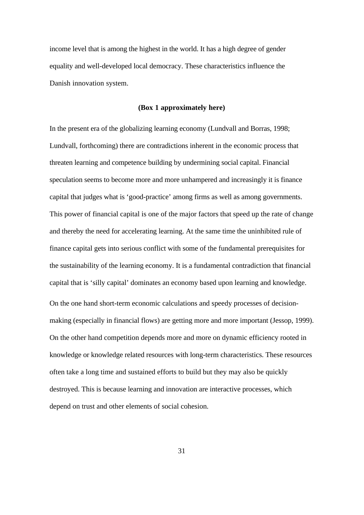income level that is among the highest in the world. It has a high degree of gender equality and well-developed local democracy. These characteristics influence the Danish innovation system.

#### **(Box 1 approximately here)**

In the present era of the globalizing learning economy (Lundvall and Borras, 1998; Lundvall, forthcoming) there are contradictions inherent in the economic process that threaten learning and competence building by undermining social capital. Financial speculation seems to become more and more unhampered and increasingly it is finance capital that judges what is 'good-practice' among firms as well as among governments. This power of financial capital is one of the major factors that speed up the rate of change and thereby the need for accelerating learning. At the same time the uninhibited rule of finance capital gets into serious conflict with some of the fundamental prerequisites for the sustainability of the learning economy. It is a fundamental contradiction that financial capital that is 'silly capital' dominates an economy based upon learning and knowledge. On the one hand short-term economic calculations and speedy processes of decisionmaking (especially in financial flows) are getting more and more important (Jessop, 1999). On the other hand competition depends more and more on dynamic efficiency rooted in knowledge or knowledge related resources with long-term characteristics. These resources often take a long time and sustained efforts to build but they may also be quickly destroyed. This is because learning and innovation are interactive processes, which depend on trust and other elements of social cohesion.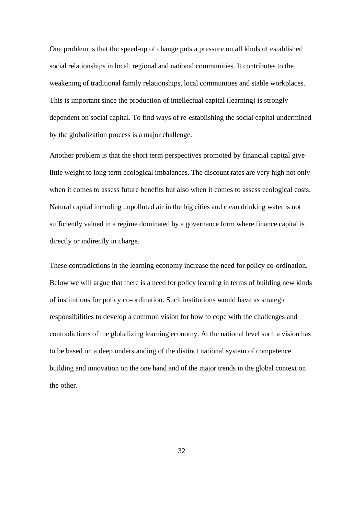One problem is that the speed-up of change puts a pressure on all kinds of established social relationships in local, regional and national communities. It contributes to the weakening of traditional family relationships, local communities and stable workplaces. This is important since the production of intellectual capital (learning) is strongly dependent on social capital. To find ways of re-establishing the social capital undermined by the globalization process is a major challenge.

Another problem is that the short term perspectives promoted by financial capital give little weight to long term ecological imbalances. The discount rates are very high not only when it comes to assess future benefits but also when it comes to assess ecological costs. Natural capital including unpolluted air in the big cities and clean drinking water is not sufficiently valued in a regime dominated by a governance form where finance capital is directly or indirectly in charge.

These contradictions in the learning economy increase the need for policy co-ordination. Below we will argue that there is a need for policy learning in terms of building new kinds of institutions for policy co-ordination. Such institutions would have as strategic responsibilities to develop a common vision for how to cope with the challenges and contradictions of the globalizing learning economy. At the national level such a vision has to be based on a deep understanding of the distinct national system of competence building and innovation on the one hand and of the major trends in the global context on the other.

32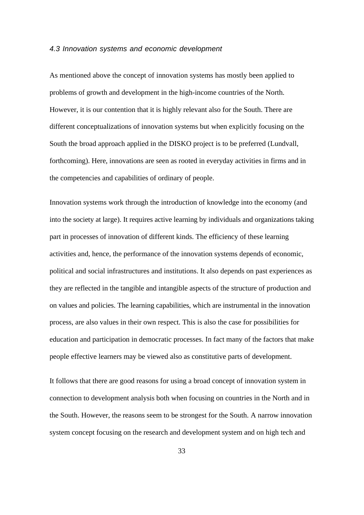#### *4.3 Innovation systems and economic development*

As mentioned above the concept of innovation systems has mostly been applied to problems of growth and development in the high-income countries of the North. However, it is our contention that it is highly relevant also for the South. There are different conceptualizations of innovation systems but when explicitly focusing on the South the broad approach applied in the DISKO project is to be preferred (Lundvall, forthcoming). Here, innovations are seen as rooted in everyday activities in firms and in the competencies and capabilities of ordinary of people.

Innovation systems work through the introduction of knowledge into the economy (and into the society at large). It requires active learning by individuals and organizations taking part in processes of innovation of different kinds. The efficiency of these learning activities and, hence, the performance of the innovation systems depends of economic, political and social infrastructures and institutions. It also depends on past experiences as they are reflected in the tangible and intangible aspects of the structure of production and on values and policies. The learning capabilities, which are instrumental in the innovation process, are also values in their own respect. This is also the case for possibilities for education and participation in democratic processes. In fact many of the factors that make people effective learners may be viewed also as constitutive parts of development.

It follows that there are good reasons for using a broad concept of innovation system in connection to development analysis both when focusing on countries in the North and in the South. However, the reasons seem to be strongest for the South. A narrow innovation system concept focusing on the research and development system and on high tech and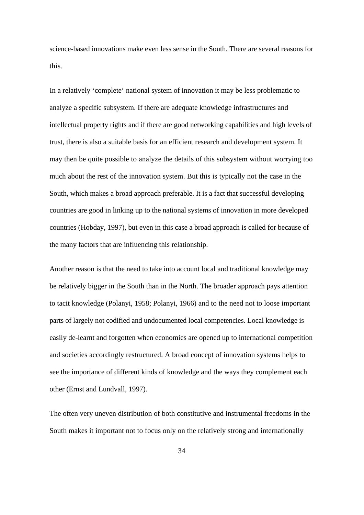science-based innovations make even less sense in the South. There are several reasons for this.

In a relatively 'complete' national system of innovation it may be less problematic to analyze a specific subsystem. If there are adequate knowledge infrastructures and intellectual property rights and if there are good networking capabilities and high levels of trust, there is also a suitable basis for an efficient research and development system. It may then be quite possible to analyze the details of this subsystem without worrying too much about the rest of the innovation system. But this is typically not the case in the South, which makes a broad approach preferable. It is a fact that successful developing countries are good in linking up to the national systems of innovation in more developed countries (Hobday, 1997), but even in this case a broad approach is called for because of the many factors that are influencing this relationship.

Another reason is that the need to take into account local and traditional knowledge may be relatively bigger in the South than in the North. The broader approach pays attention to tacit knowledge (Polanyi, 1958; Polanyi, 1966) and to the need not to loose important parts of largely not codified and undocumented local competencies. Local knowledge is easily de-learnt and forgotten when economies are opened up to international competition and societies accordingly restructured. A broad concept of innovation systems helps to see the importance of different kinds of knowledge and the ways they complement each other (Ernst and Lundvall, 1997).

The often very uneven distribution of both constitutive and instrumental freedoms in the South makes it important not to focus only on the relatively strong and internationally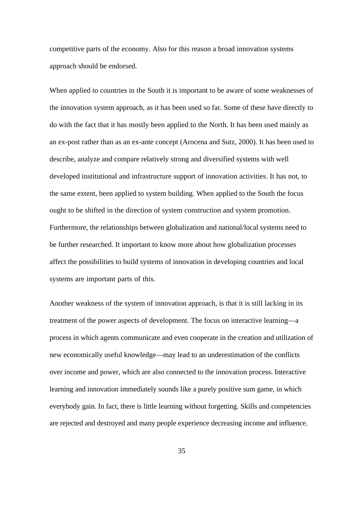competitive parts of the economy. Also for this reason a broad innovation systems approach should be endorsed.

When applied to countries in the South it is important to be aware of some weaknesses of the innovation system approach, as it has been used so far. Some of these have directly to do with the fact that it has mostly been applied to the North. It has been used mainly as an ex-post rather than as an ex-ante concept (Arocena and Sutz, 2000). It has been used to describe, analyze and compare relatively strong and diversified systems with well developed institutional and infrastructure support of innovation activities. It has not, to the same extent, been applied to system building. When applied to the South the focus ought to be shifted in the direction of system construction and system promotion. Furthermore, the relationships between globalization and national/local systems need to be further researched. It important to know more about how globalization processes affect the possibilities to build systems of innovation in developing countries and local systems are important parts of this.

Another weakness of the system of innovation approach, is that it is still lacking in its treatment of the power aspects of development. The focus on interactive learning—a process in which agents communicate and even cooperate in the creation and utilization of new economically useful knowledge—may lead to an underestimation of the conflicts over income and power, which are also connected to the innovation process. Interactive learning and innovation immediately sounds like a purely positive sum game, in which everybody gain. In fact, there is little learning without forgetting. Skills and competencies are rejected and destroyed and many people experience decreasing income and influence.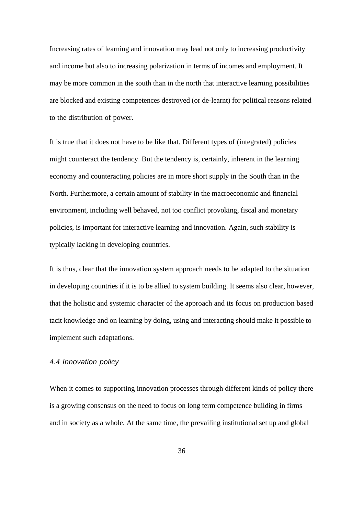Increasing rates of learning and innovation may lead not only to increasing productivity and income but also to increasing polarization in terms of incomes and employment. It may be more common in the south than in the north that interactive learning possibilities are blocked and existing competences destroyed (or de-learnt) for political reasons related to the distribution of power.

It is true that it does not have to be like that. Different types of (integrated) policies might counteract the tendency. But the tendency is, certainly, inherent in the learning economy and counteracting policies are in more short supply in the South than in the North. Furthermore, a certain amount of stability in the macroeconomic and financial environment, including well behaved, not too conflict provoking, fiscal and monetary policies, is important for interactive learning and innovation. Again, such stability is typically lacking in developing countries.

It is thus, clear that the innovation system approach needs to be adapted to the situation in developing countries if it is to be allied to system building. It seems also clear, however, that the holistic and systemic character of the approach and its focus on production based tacit knowledge and on learning by doing, using and interacting should make it possible to implement such adaptations.

### *4.4 Innovation policy*

When it comes to supporting innovation processes through different kinds of policy there is a growing consensus on the need to focus on long term competence building in firms and in society as a whole. At the same time, the prevailing institutional set up and global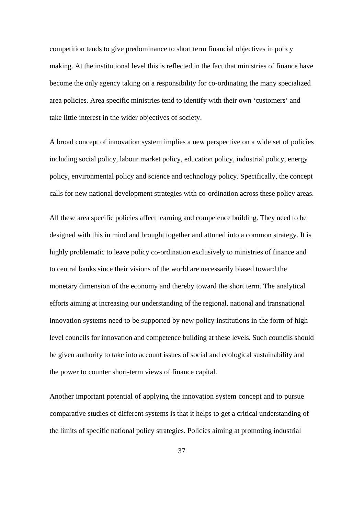competition tends to give predominance to short term financial objectives in policy making. At the institutional level this is reflected in the fact that ministries of finance have become the only agency taking on a responsibility for co-ordinating the many specialized area policies. Area specific ministries tend to identify with their own 'customers' and take little interest in the wider objectives of society.

A broad concept of innovation system implies a new perspective on a wide set of policies including social policy, labour market policy, education policy, industrial policy, energy policy, environmental policy and science and technology policy. Specifically, the concept calls for new national development strategies with co-ordination across these policy areas.

All these area specific policies affect learning and competence building. They need to be designed with this in mind and brought together and attuned into a common strategy. It is highly problematic to leave policy co-ordination exclusively to ministries of finance and to central banks since their visions of the world are necessarily biased toward the monetary dimension of the economy and thereby toward the short term. The analytical efforts aiming at increasing our understanding of the regional, national and transnational innovation systems need to be supported by new policy institutions in the form of high level councils for innovation and competence building at these levels. Such councils should be given authority to take into account issues of social and ecological sustainability and the power to counter short-term views of finance capital.

Another important potential of applying the innovation system concept and to pursue comparative studies of different systems is that it helps to get a critical understanding of the limits of specific national policy strategies. Policies aiming at promoting industrial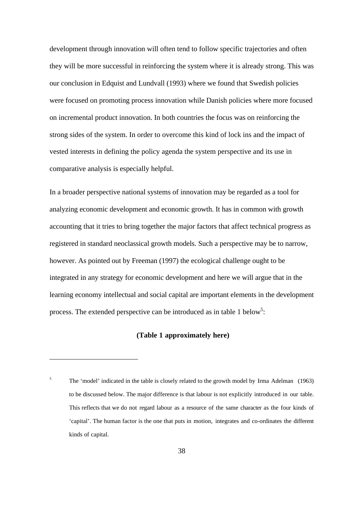development through innovation will often tend to follow specific trajectories and often they will be more successful in reinforcing the system where it is already strong. This was our conclusion in Edquist and Lundvall (1993) where we found that Swedish policies were focused on promoting process innovation while Danish policies where more focused on incremental product innovation. In both countries the focus was on reinforcing the strong sides of the system. In order to overcome this kind of lock ins and the impact of vested interests in defining the policy agenda the system perspective and its use in comparative analysis is especially helpful.

In a broader perspective national systems of innovation may be regarded as a tool for analyzing economic development and economic growth. It has in common with growth accounting that it tries to bring together the major factors that affect technical progress as registered in standard neoclassical growth models. Such a perspective may be to narrow, however. As pointed out by Freeman (1997) the ecological challenge ought to be integrated in any strategy for economic development and here we will argue that in the learning economy intellectual and social capital are important elements in the development process. The extended perspective can be introduced as in table 1 below<sup>5</sup>:

#### **(Table 1 approximately here)**

 $\overline{a}$ 

<sup>5</sup> The 'model' indicated in the table is closely related to the growth model by Irma Adelman (1963) to be discussed below. The major difference is that labour is not explicitly introduced in our table. This reflects that we do not regard labour as a resource of the same character as the four kinds of 'capital'. The human factor is the one that puts in motion, integrates and co-ordinates the different kinds of capital.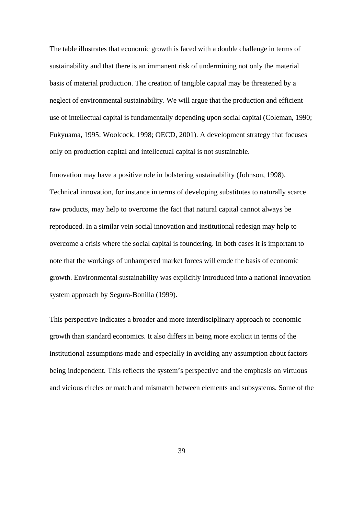The table illustrates that economic growth is faced with a double challenge in terms of sustainability and that there is an immanent risk of undermining not only the material basis of material production. The creation of tangible capital may be threatened by a neglect of environmental sustainability. We will argue that the production and efficient use of intellectual capital is fundamentally depending upon social capital (Coleman, 1990; Fukyuama, 1995; Woolcock, 1998; OECD, 2001). A development strategy that focuses only on production capital and intellectual capital is not sustainable.

Innovation may have a positive role in bolstering sustainability (Johnson, 1998). Technical innovation, for instance in terms of developing substitutes to naturally scarce raw products, may help to overcome the fact that natural capital cannot always be reproduced. In a similar vein social innovation and institutional redesign may help to overcome a crisis where the social capital is foundering. In both cases it is important to note that the workings of unhampered market forces will erode the basis of economic growth. Environmental sustainability was explicitly introduced into a national innovation system approach by Segura-Bonilla (1999).

This perspective indicates a broader and more interdisciplinary approach to economic growth than standard economics. It also differs in being more explicit in terms of the institutional assumptions made and especially in avoiding any assumption about factors being independent. This reflects the system's perspective and the emphasis on virtuous and vicious circles or match and mismatch between elements and subsystems. Some of the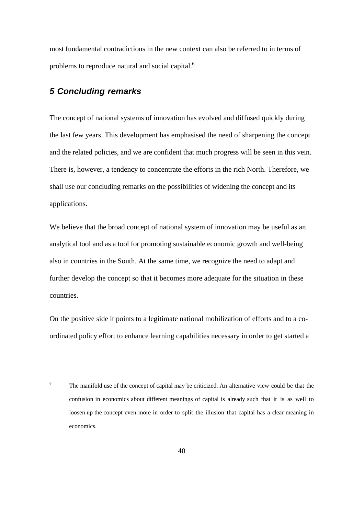most fundamental contradictions in the new context can also be referred to in terms of problems to reproduce natural and social capital.<sup>6</sup>

### *5 Concluding remarks*

 $\overline{a}$ 

The concept of national systems of innovation has evolved and diffused quickly during the last few years. This development has emphasised the need of sharpening the concept and the related policies, and we are confident that much progress will be seen in this vein. There is, however, a tendency to concentrate the efforts in the rich North. Therefore, we shall use our concluding remarks on the possibilities of widening the concept and its applications.

We believe that the broad concept of national system of innovation may be useful as an analytical tool and as a tool for promoting sustainable economic growth and well-being also in countries in the South. At the same time, we recognize the need to adapt and further develop the concept so that it becomes more adequate for the situation in these countries.

On the positive side it points to a legitimate national mobilization of efforts and to a coordinated policy effort to enhance learning capabilities necessary in order to get started a

<sup>6</sup> The manifold use of the concept of capital may be criticized. An alternative view could be that the confusion in economics about different meanings of capital is already such that it is as well to loosen up the concept even more in order to split the illusion that capital has a clear meaning in economics.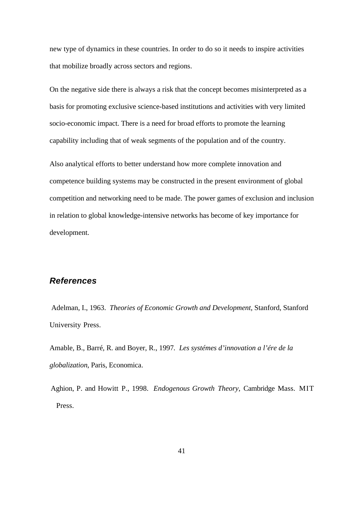new type of dynamics in these countries. In order to do so it needs to inspire activities that mobilize broadly across sectors and regions.

On the negative side there is always a risk that the concept becomes misinterpreted as a basis for promoting exclusive science-based institutions and activities with very limited socio-economic impact. There is a need for broad efforts to promote the learning capability including that of weak segments of the population and of the country.

Also analytical efforts to better understand how more complete innovation and competence building systems may be constructed in the present environment of global competition and networking need to be made. The power games of exclusion and inclusion in relation to global knowledge-intensive networks has become of key importance for development.

### *References*

 Adelman, I., 1963. *Theories of Economic Growth and Development*, Stanford, Stanford University Press.

Amable, B., Barré, R. and Boyer, R., 1997*. Les systémes d'innovation a l'ére de la globalization*, Paris, Economica.

Aghion, P. and Howitt P., 1998. *Endogenous Growth Theory*, Cambridge Mass. MIT Press.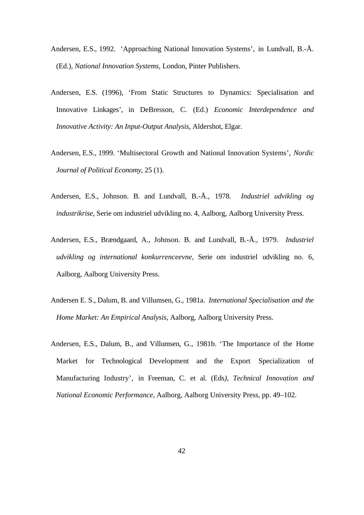- Andersen, E.S., 1992. 'Approaching National Innovation Systems', in Lundvall, B.-Å. (Ed.), *National Innovation Systems*, London, Pinter Publishers.
- Andersen, E.S. (1996), 'From Static Structures to Dynamics: Specialisation and Innovative Linkages', in DeBresson, C. (Ed.) *Economic Interdependence and Innovative Activity: An Input-Output Analysis*, Aldershot, Elgar.
- Andersen, E.S., 1999. 'Multisectoral Growth and National Innovation Systems', *Nordic Journal of Political Economy*, 25 (1).
- Andersen, E.S., Johnson. B. and Lundvall, B.-Å., 1978*. Industriel udvikling og industrikrise*, Serie om industriel udvikling no. 4, Aalborg, Aalborg University Press.
- Andersen, E.S., Brændgaard, A., Johnson. B. and Lundvall, B.-Å., 1979. *Industriel udvikling og international konkurrenceevne*, Serie om industriel udvikling no. 6, Aalborg, Aalborg University Press.
- Andersen E. S., Dalum, B. and Villumsen, G., 1981a. *International Specialisation and the Home Market: An Empirical Analysis*, Aalborg, Aalborg University Press.
- Andersen, E.S., Dalum, B., and Villumsen, G., 1981b. 'The Importance of the Home Market for Technological Development and the Export Specialization of Manufacturing Industry', in Freeman, C. et al. (Eds*), Technical Innovation and National Economic Performance*, Aalborg, Aalborg University Press, pp. 49–102.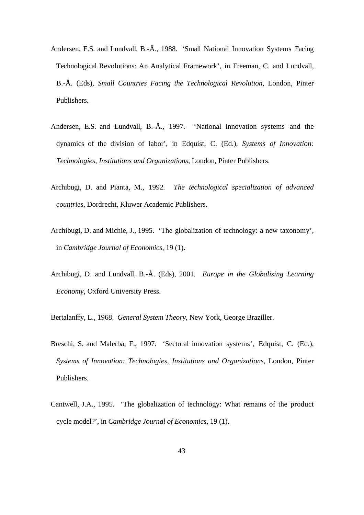- Andersen, E.S. and Lundvall, B.-Å., 1988. 'Small National Innovation Systems Facing Technological Revolutions: An Analytical Framework', in Freeman, C. and Lundvall, B.-Å. (Eds), *Small Countries Facing the Technological Revolution*, London, Pinter Publishers.
- Andersen, E.S. and Lundvall, B.-Å., 1997. 'National innovation systems and the dynamics of the division of labor', in Edquist, C. (Ed.), *Systems of Innovation: Technologies, Institutions and Organizations*, London, Pinter Publishers.
- Archibugi, D. and Pianta, M., 1992*. The technological specialization of advanced countries*, Dordrecht, Kluwer Academic Publishers.
- Archibugi, D. and Michie, J., 1995. 'The globalization of technology: a new taxonomy', in *Cambridge Journal of Economics*, 19 (1).
- Archibugi, D. and Lundvall, B.-Å. (Eds), 2001*. Europe in the Globalising Learning Economy*, Oxford University Press.
- Bertalanffy, L., 1968. *General System Theory*, New York, George Braziller.
- Breschi, S. and Malerba, F., 1997. 'Sectoral innovation systems', Edquist, C. (Ed.), *Systems of Innovation: Technologies, Institutions and Organizations*, London, Pinter Publishers.
- Cantwell, J.A., 1995. 'The globalization of technology: What remains of the product cycle model?', in *Cambridge Journal of Economics*, 19 (1).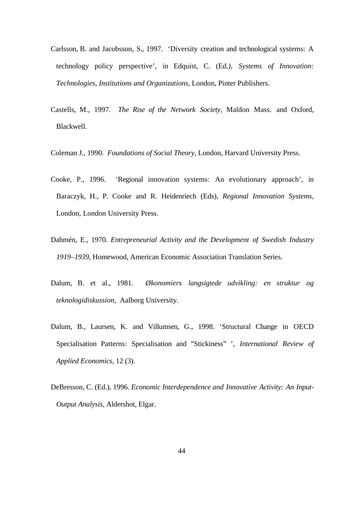- Carlsson, B. and Jacobsson, S., 1997. 'Diversity creation and technological systems: A technology policy perspective', in Edquist, C. (Ed*.), Systems of Innovation: Technologies, Institutions and Organizations*, London, Pinter Publishers.
- Castells, M., 1997. *The Rise of the Network Society*, Maldon Mass. and Oxford, Blackwell.
- Coleman J., 1990. *Foundations of Social Theory*, London, Harvard University Press.
- Cooke, P., 1996. 'Regional innovation systems: An evolutionary approach', in Baraczyk, H., P. Cooke and R. Heidenriech (Eds), *Regional Innovation Systems*, London, London University Press.
- Dahmén, E., 1970*. Entrepreneurial Activity and the Development of Swedish Industry 1919–1939*, Homewood, American Economic Association Translation Series.
- Dalum, B. et al., 1981*. Økonomiers langsigtede udvikling: en struktur og teknologidiskussion*, Aalborg University.
- Dalum, B., Laursen, K. and Villumsen, G., 1998. 'Structural Change in OECD Specialisation Patterns: Specialisation and "Stickiness" '*, International Review of Applied Economics*, 12 (3).
- DeBresson, C. (Ed.), 1996*. Economic Interdependence and Innovative Activity: An Input-Output Analysis*, Aldershot, Elgar.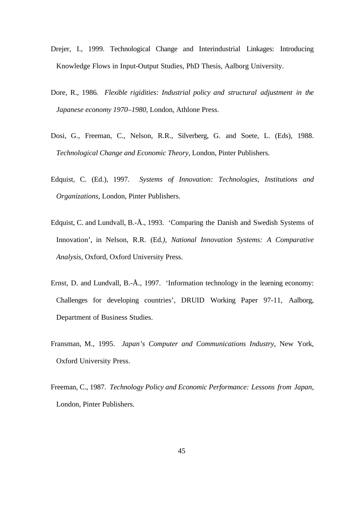- Drejer, I., 1999. Technological Change and Interindustrial Linkages: Introducing Knowledge Flows in Input-Output Studies, PhD Thesis, Aalborg University.
- Dore, R., 1986*. Flexible rigidities: Industrial policy and structural adjustment in the Japanese economy 1970–1980*, London, Athlone Press.
- Dosi, G., Freeman, C., Nelson, R.R., Silverberg, G. and Soete, L. (Eds), 1988. *Technological Change and Economic Theory*, London, Pinter Publishers.
- Edquist, C. (Ed.), 1997*. Systems of Innovation: Technologies, Institutions and Organizations*, London, Pinter Publishers.
- Edquist, C. and Lundvall, B.-Å., 1993. 'Comparing the Danish and Swedish Systems of Innovation', in Nelson, R.R. (Ed*.), National Innovation Systems: A Comparative Analysis*, Oxford, Oxford University Press.
- Ernst, D. and Lundvall, B.-Å., 1997. 'Information technology in the learning economy: Challenges for developing countries', DRUID Working Paper 97-11, Aalborg, Department of Business Studies.
- Fransman, M., 1995. *Japan's Computer and Communications Industry*, New York, Oxford University Press.
- Freeman, C., 1987. *Technology Policy and Economic Performance: Lessons from Japan*, London, Pinter Publishers.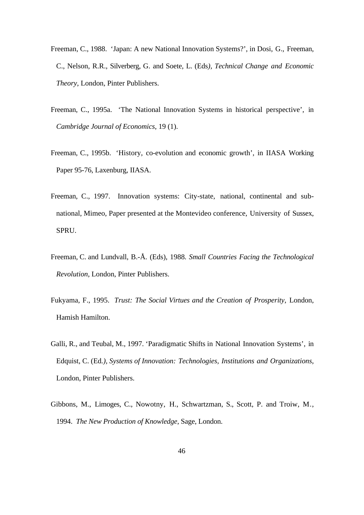- Freeman, C., 1988. 'Japan: A new National Innovation Systems?', in Dosi, G., Freeman, C., Nelson, R.R., Silverberg, G. and Soete, L. (Eds*), Technical Change and Economic Theory*, London, Pinter Publishers.
- Freeman, C., 1995a. 'The National Innovation Systems in historical perspective', in *Cambridge Journal of Economics*, 19 (1).
- Freeman, C., 1995b. 'History, co-evolution and economic growth', in IIASA Working Paper 95-76, Laxenburg, IIASA.
- Freeman, C., 1997. Innovation systems: City-state, national, continental and subnational, Mimeo, Paper presented at the Montevideo conference, University of Sussex, SPRU.
- Freeman, C. and Lundvall, B.-Å. (Eds), 1988*. Small Countries Facing the Technological Revolution*, London, Pinter Publishers.
- Fukyama, F., 1995. *Trust: The Social Virtues and the Creation of Prosperity*, London, Hamish Hamilton.
- Galli, R., and Teubal, M., 1997. 'Paradigmatic Shifts in National Innovation Systems', in Edquist, C. (Ed*.), Systems of Innovation: Technologies, Institutions and Organizations*, London, Pinter Publishers.
- Gibbons, M., Limoges, C., Nowotny, H., Schwartzman, S., Scott, P. and Troiw, M., 1994. *The New Production of Knowledge*, Sage, London.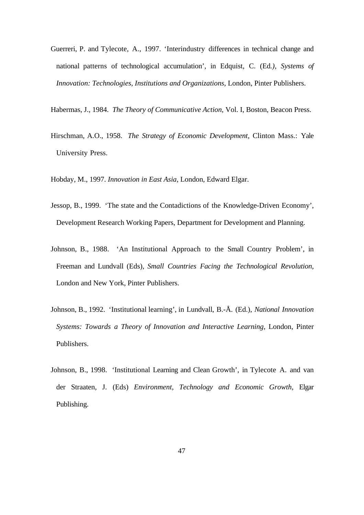- Guerreri, P. and Tylecote, A., 1997. 'Interindustry differences in technical change and national patterns of technological accumulation', in Edquist, C. (Ed*.), Systems of Innovation: Technologies, Institutions and Organizations*, London, Pinter Publishers.
- Habermas, J., 1984. *The Theory of Communicative Action*, Vol. I, Boston, Beacon Press.
- Hirschman, A.O., 1958. *The Strategy of Economic Development*, Clinton Mass.: Yale University Press.

Hobday, M., 1997. *Innovation in East Asia*, London, Edward Elgar.

- Jessop, B., 1999. 'The state and the Contadictions of the Knowledge-Driven Economy', Development Research Working Papers, Department for Development and Planning.
- Johnson, B., 1988. 'An Institutional Approach to the Small Country Problem', in Freeman and Lundvall (Eds), *Small Countries Facing the Technological Revolution*, London and New York, Pinter Publishers.
- Johnson, B., 1992. 'Institutional learning', in Lundvall, B.-Å. (Ed.), *National Innovation Systems: Towards a Theory of Innovation and Interactive Learning*, London, Pinter Publishers.
- Johnson, B., 1998. 'Institutional Learning and Clean Growth', in Tylecote A. and van der Straaten, J. (Eds) *Environment, Technology and Economic Growth*, Elgar Publishing.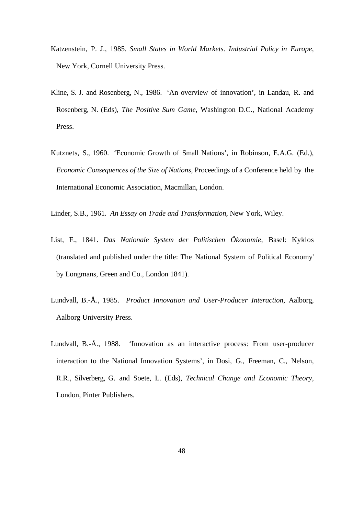- Katzenstein, P. J., 1985. *Small States in World Markets. Industrial Policy in Europe*, New York, Cornell University Press.
- Kline, S. J. and Rosenberg, N., 1986. 'An overview of innovation', in Landau, R. and Rosenberg, N. (Eds), *The Positive Sum Game*, Washington D.C., National Academy Press.
- Kutznets, S., 1960. 'Economic Growth of Small Nations', in Robinson, E.A.G. (Ed.), *Economic Consequences of the Size of Nations*, Proceedings of a Conference held by the International Economic Association, Macmillan, London.
- Linder, S.B., 1961. *An Essay on Trade and Transformation*, New York, Wiley.
- List, F., 1841. *Das Nationale System der Politischen Ökonomie*, Basel: Kyklos (translated and published under the title: The National System of Political Economy' by Longmans, Green and Co., London 1841).
- Lundvall, B.-Å., 1985. *Product Innovation and User-Producer Interaction*, Aalborg, Aalborg University Press.
- Lundvall, B.-Å., 1988. 'Innovation as an interactive process: From user-producer interaction to the National Innovation Systems', in Dosi, G., Freeman, C., Nelson, R.R., Silverberg, G. and Soete, L. (Eds), *Technical Change and Economic Theory*, London, Pinter Publishers.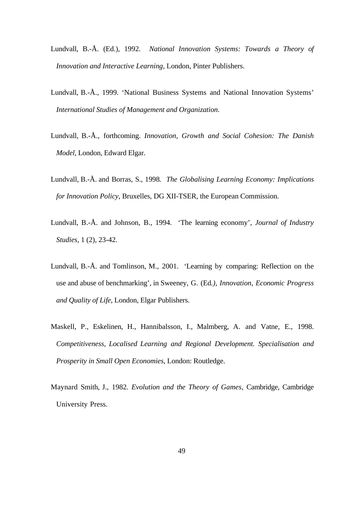- Lundvall, B.-Å. (Ed.), 1992. *National Innovation Systems: Towards a Theory of Innovation and Interactive Learning*, London, Pinter Publishers.
- Lundvall, B.-Å., 1999. 'National Business Systems and National Innovation Systems' *International Studies of Management and Organization*.
- Lundvall, B.-Å., forthcoming. *Innovation, Growth and Social Cohesion: The Danish Model*, London, Edward Elgar.
- Lundvall, B.-Å. and Borras, S., 1998*. The Globalising Learning Economy: Implications for Innovation Policy*, Bruxelles*,* DG XII-TSER, the European Commission.
- Lundvall, B.-Å. and Johnson, B., 1994. 'The learning economy'*, Journal of Industry Studies*, 1 (2), 23-42.
- Lundvall, B.-Å. and Tomlinson, M., 2001. 'Learning by comparing: Reflection on the use and abuse of benchmarking', in Sweeney, G. (Ed*.), Innovation, Economic Progress and Quality of Life*, London, Elgar Publishers.
- Maskell, P., Eskelinen, H., Hannibalsson, I., Malmberg, A. and Vatne, E., 1998. *Competitiveness, Localised Learning and Regional Development. Specialisation and Prosperity in Small Open Economies*, London: Routledge.
- Maynard Smith, J., 1982. *Evolution and the Theory of Games*, Cambridge, Cambridge University Press.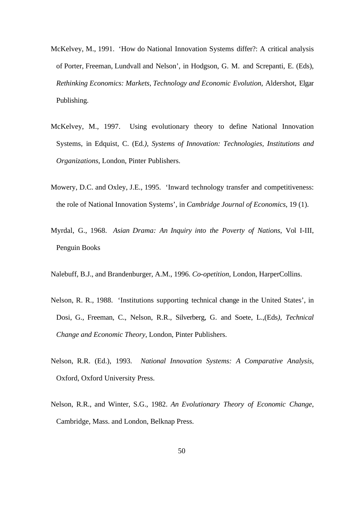- McKelvey, M., 1991. 'How do National Innovation Systems differ?: A critical analysis of Porter, Freeman, Lundvall and Nelson', in Hodgson, G. M. and Screpanti, E. (Eds), *Rethinking Economics: Markets, Technology and Economic Evolution*, Aldershot, Elgar Publishing.
- McKelvey, M., 1997. Using evolutionary theory to define National Innovation Systems, in Edquist, C. (Ed*.), Systems of Innovation: Technologies, Institutions and Organizations*, London, Pinter Publishers.
- Mowery, D.C. and Oxley, J.E., 1995. 'Inward technology transfer and competitiveness: the role of National Innovation Systems', in *Cambridge Journal of Economics*, 19 (1).
- Myrdal, G., 1968. *Asian Drama: An Inquiry into the Poverty of Nations*, Vol I-III, Penguin Books
- Nalebuff, B.J., and Brandenburger, A.M., 1996. *Co-opetition*, London, HarperCollins.
- Nelson, R. R., 1988. 'Institutions supporting technical change in the United States', in Dosi, G., Freeman, C., Nelson, R.R., Silverberg, G. and Soete, L.,(Eds*), Technical Change and Economic Theory*, London, Pinter Publishers.
- Nelson, R.R. (Ed.), 1993. *National Innovation Systems: A Comparative Analysis*, Oxford, Oxford University Press.
- Nelson, R.R., and Winter, S.G., 1982. *An Evolutionary Theory of Economic Change*, Cambridge, Mass. and London, Belknap Press.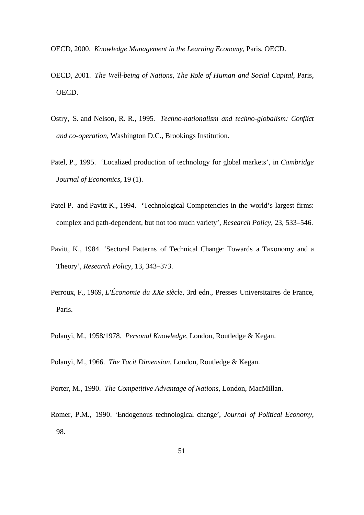OECD, 2000. *Knowledge Management in the Learning Economy*, Paris, OECD.

- OECD, 2001. *The Well-being of Nations, The Role of Human and Social Capital*, Paris, OECD.
- Ostry, S. and Nelson, R. R., 1995*. Techno-nationalism and techno-globalism: Conflict and co-operation*, Washington D.C., Brookings Institution.
- Patel, P., 1995. 'Localized production of technology for global markets', in *Cambridge Journal of Economics*, 19 (1).
- Patel P. and Pavitt K., 1994. 'Technological Competencies in the world's largest firms: complex and path-dependent, but not too much variety'*, Research Policy*, 23, 533–546.
- Pavitt, K., 1984. 'Sectoral Patterns of Technical Change: Towards a Taxonomy and a Theory', *Research Policy*, 13, 343–373.
- Perroux, F., 1969, *L'Économie du XXe siècle*, 3rd edn., Presses Universitaires de France, Paris.
- Polanyi, M., 1958/1978. *Personal Knowledge*, London, Routledge & Kegan.
- Polanyi, M., 1966. *The Tacit Dimension*, London, Routledge & Kegan.
- Porter, M., 1990. *The Competitive Advantage of Nations*, London, MacMillan.
- Romer, P.M., 1990. 'Endogenous technological change', *Journal of Political Economy*, 98.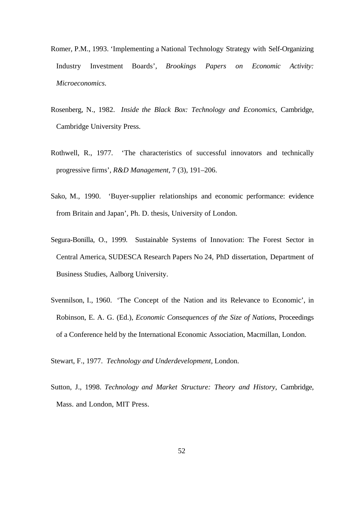- Romer, P.M., 1993. 'Implementing a National Technology Strategy with Self-Organizing Industry Investment Boards', *Brookings Papers on Economic Activity: Microeconomics*.
- Rosenberg, N., 1982. *Inside the Black Box: Technology and Economics*, Cambridge, Cambridge University Press.
- Rothwell, R., 1977. 'The characteristics of successful innovators and technically progressive firms', *R&D Management*, 7 (3), 191–206.
- Sako, M., 1990. 'Buyer-supplier relationships and economic performance: evidence from Britain and Japan', Ph. D. thesis, University of London.
- Segura-Bonilla, O., 1999*.* Sustainable Systems of Innovation: The Forest Sector in Central America, SUDESCA Research Papers No 24, PhD dissertation, Department of Business Studies, Aalborg University.
- Svennilson, I., 1960. 'The Concept of the Nation and its Relevance to Economic', in Robinson, E. A. G. (Ed.), *Economic Consequences of the Size of Nations*, Proceedings of a Conference held by the International Economic Association, Macmillan, London.

Stewart, F., 1977. *Technology and Underdevelopment*, London.

Sutton, J., 1998. *Technology and Market Structure: Theory and History*, Cambridge, Mass. and London, MIT Press.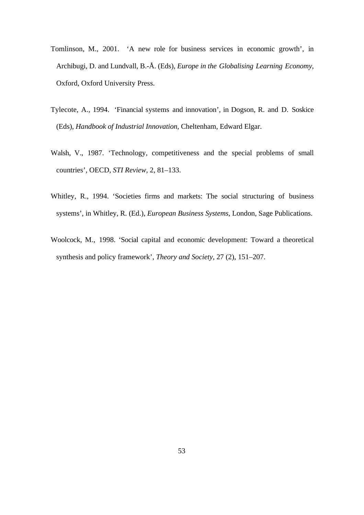- Tomlinson, M., 2001. 'A new role for business services in economic growth', in Archibugi, D. and Lundvall, B.-Å. (Eds), *Europe in the Globalising Learning Economy*, Oxford, Oxford University Press.
- Tylecote, A., 1994. 'Financial systems and innovation', in Dogson, R. and D. Soskice (Eds), *Handbook of Industrial Innovation*, Cheltenham, Edward Elgar.
- Walsh, V., 1987. 'Technology, competitiveness and the special problems of small countries', OECD, *STI Review*, 2, 81–133.
- Whitley, R., 1994. 'Societies firms and markets: The social structuring of business systems', in Whitley, R. (Ed.), *European Business Systems*, London, Sage Publications.
- Woolcock, M., 1998. 'Social capital and economic development: Toward a theoretical synthesis and policy framework', *Theory and Society*, 27 (2), 151–207.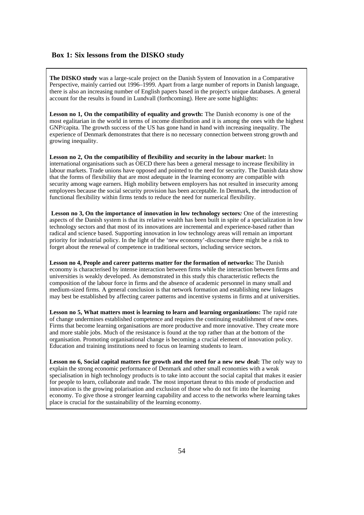#### **Box 1: Six lessons from the DISKO study**

**The DISKO study** was a large-scale project on the Danish System of Innovation in a Comparative Perspective, mainly carried out 1996–1999. Apart from a large number of reports in Danish language, there is also an increasing number of English papers based in the project's unique databases. A general account for the results is found in Lundvall (forthcoming). Here are some highlights:

Lesson no 1, On the compatibility of equality and growth: The Danish economy is one of the most egalitarian in the world in terms of income distribution and it is among the ones with the highest GNP/capita. The growth success of the US has gone hand in hand with increasing inequality. The experience of Denmark demonstrates that there is no necessary connection between strong growth and growing inequality.

**Lesson no 2, On the compatibility of flexibility and security in the labour market:** In international organisations such as OECD there has been a general message to increase flexibility in labour markets. Trade unions have opposed and pointed to the need for security. The Danish data show that the forms of flexibility that are most adequate in the learning economy are compatible with security among wage earners. High mobility between employers has not resulted in insecurity among employees because the social security provision has been acceptable. In Denmark, the introduction of functional flexibility within firms tends to reduce the need for numerical flexibility.

 **Lesson no 3, On the importance of innovation in low technology sectors***:* One of the interesting aspects of the Danish system is that its relative wealth has been built in spite of a specialization in low technology sectors and that most of its innovations are incremental and experience-based rather than radical and science based. Supporting innovation in low technology areas will remain an important priority for industrial policy. In the light of the 'new economy'-discourse there might be a risk to forget about the renewal of competence in traditional sectors, including service sectors.

**Lesson no 4, People and career patterns matter for the formation of networks:** The Danish economy is characterised by intense interaction between firms while the interaction between firms and universities is weakly developed. As demonstrated in this study this characteristic reflects the composition of the labour force in firms and the absence of academic personnel in many small and medium-sized firms. A general conclusion is that network formation and establishing new linkages may best be established by affecting career patterns and incentive systems in firms and at universities.

**Lesson no 5, What matters most is learning to learn and learning organizations:** The rapid rate of change undermines established competence and requires the continuing establishment of new ones. Firms that become learning organisations are more productive and more innovative. They create more and more stable jobs. Much of the resistance is found at the top rather than at the bottom of the organisation. Promoting organisational change is becoming a crucial element of innovation policy. Education and training institutions need to focus on learning students to learn.

**Lesson no 6, Social capital matters for growth and the need for a new new deal:** The only way to explain the strong economic performance of Denmark and other small economies with a weak specialisation in high technology products is to take into account the social capital that makes it easier for people to learn, collaborate and trade. The most important threat to this mode of production and innovation is the growing polarisation and exclusion of those who do not fit into the learning economy. To give those a stronger learning capability and access to the networks where learning takes place is crucial for the sustainability of the learning economy.